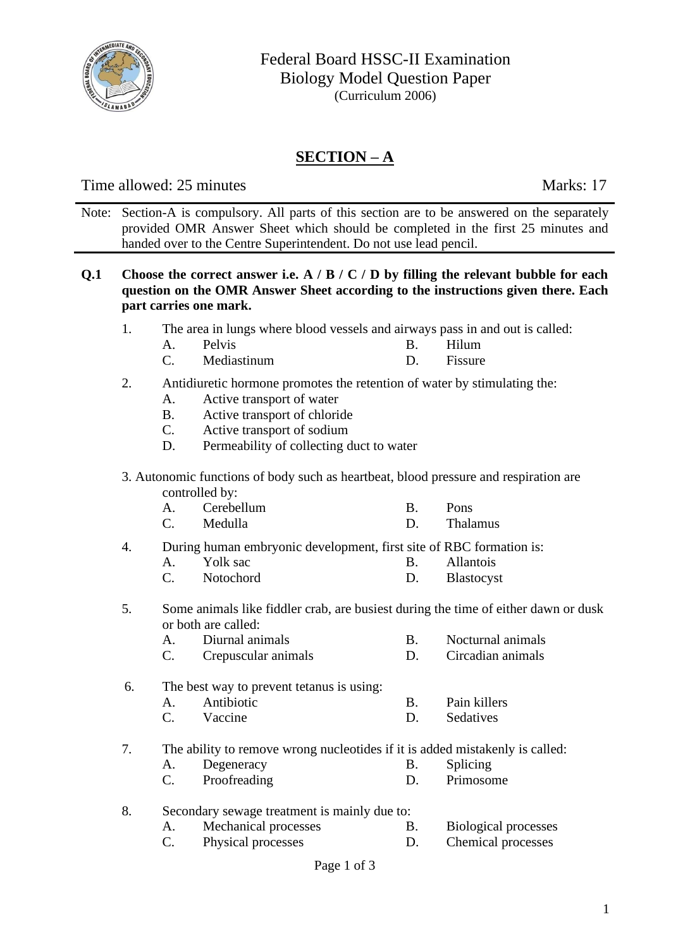

# **SECTION – A**

Time allowed: 25 minutes Marks: 17

Note: Section-A is compulsory. All parts of this section are to be answered on the separately provided OMR Answer Sheet which should be completed in the first 25 minutes and handed over to the Centre Superintendent. Do not use lead pencil.

- **Q.1 Choose the correct answer i.e. A / B / C / D by filling the relevant bubble for each question on the OMR Answer Sheet according to the instructions given there. Each part carries one mark.** 
	- 1. The area in lungs where blood vessels and airways pass in and out is called:
		- A. Pelvis B. Hilum
		- C. Mediastinum D. Fissure

#### 2. Antidiuretic hormone promotes the retention of water by stimulating the:

- A. Active transport of water
- B. Active transport of chloride
- C. Active transport of sodium
- D. Permeability of collecting duct to water
- 3. Autonomic functions of body such as heartbeat, blood pressure and respiration are controlled by:
	- A. Cerebellum B. Pons
	- C. Medulla D. Thalamus
- 4. During human embryonic development, first site of RBC formation is:<br>A Yolk sac B Allantois
	- A. Yolk sac B. Allantois
	- C. Notochord D. Blastocyst
- 5. Some animals like fiddler crab, are busiest during the time of either dawn or dusk or both are called:
	- A. Diurnal animals B. Nocturnal animals
	- C. Crepuscular animals D. Circadian animals
- 6. The best way to prevent tetanus is using:
	- A. Antibiotic B. Pain killers
	- C. Vaccine D. Sedatives

7. The ability to remove wrong nucleotides if it is added mistakenly is called:

- A. Degeneracy B. Splicing
	- C. Proofreading D. Primosome
- 8. Secondary sewage treatment is mainly due to:
	- A. Mechanical processes B. Biological processes
	- C. Physical processes D. Chemical processes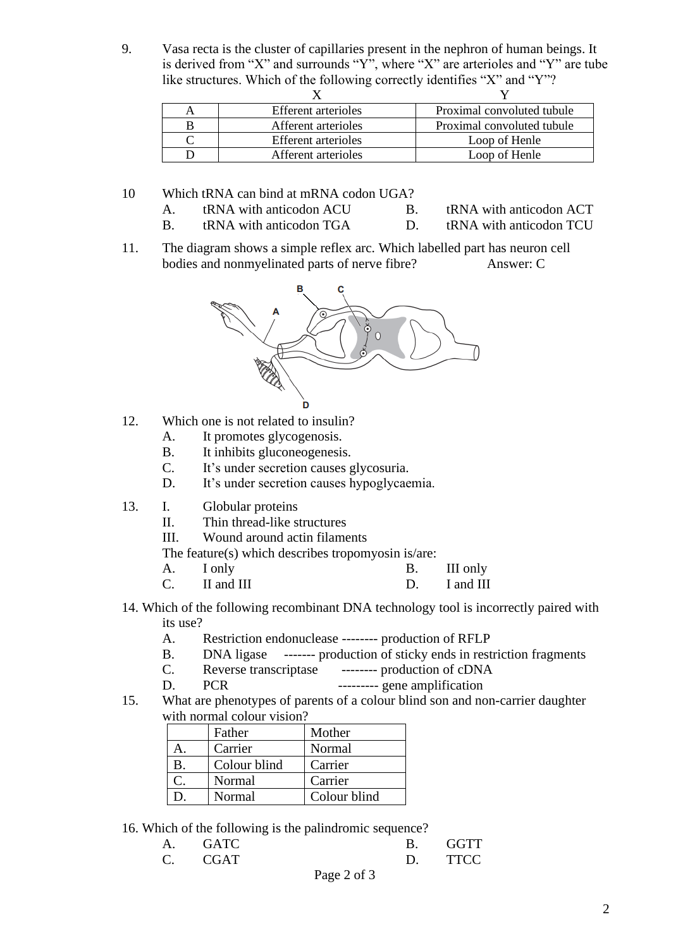9. Vasa recta is the cluster of capillaries present in the nephron of human beings. It is derived from "X" and surrounds "Y", where "X" are arterioles and "Y" are tube like structures. Which of the following correctly identifies "X" and "Y"?

| <b>Efferent</b> arterioles | Proximal convoluted tubule |
|----------------------------|----------------------------|
| Afferent arterioles        | Proximal convoluted tubule |
| <b>Efferent</b> arterioles | Loop of Henle              |
| Afferent arterioles        | Loop of Henle              |

- 10 Which tRNA can bind at mRNA codon UGA?
	- A. tRNA with anticodon ACU B. tRNA with anticodon ACT
	- B. tRNA with anticodon TGA D. tRNA with anticodon TCU
- 
- 11. The diagram shows a simple reflex arc. Which labelled part has neuron cell bodies and nonmyelinated parts of nerve fibre? Answer: C



- 12. Which one is not related to insulin?
	- A. It promotes glycogenosis.
	- B. It inhibits gluconeogenesis.
	- C. It's under secretion causes glycosuria.
	- D. It's under secretion causes hypoglycaemia.
- 13. I. Globular proteins
	- II. Thin thread-like structures
	- III. Wound around actin filaments

The feature(s) which describes tropomyosin is/are:

- A. I only B. III only
- C. II and III D. I and III
- 14. Which of the following recombinant DNA technology tool is incorrectly paired with its use?
	- A. Restriction endonuclease -------- production of RFLP
	- B. DNA ligase ------- production of sticky ends in restriction fragments
	- C. Reverse transcriptase -------- production of cDNA
	- D. PCR --------- gene amplification
- 15. What are phenotypes of parents of a colour blind son and non-carrier daughter with normal colour vision?

| Father       | Mother       |
|--------------|--------------|
| Carrier      | Normal       |
| Colour blind | Carrier      |
| Normal       | Carrier      |
| Normal       | Colour blind |

16. Which of the following is the palindromic sequence?

| A. GATC | GGTT        |
|---------|-------------|
| C CGAT  | <b>TTCC</b> |

Page 2 of 3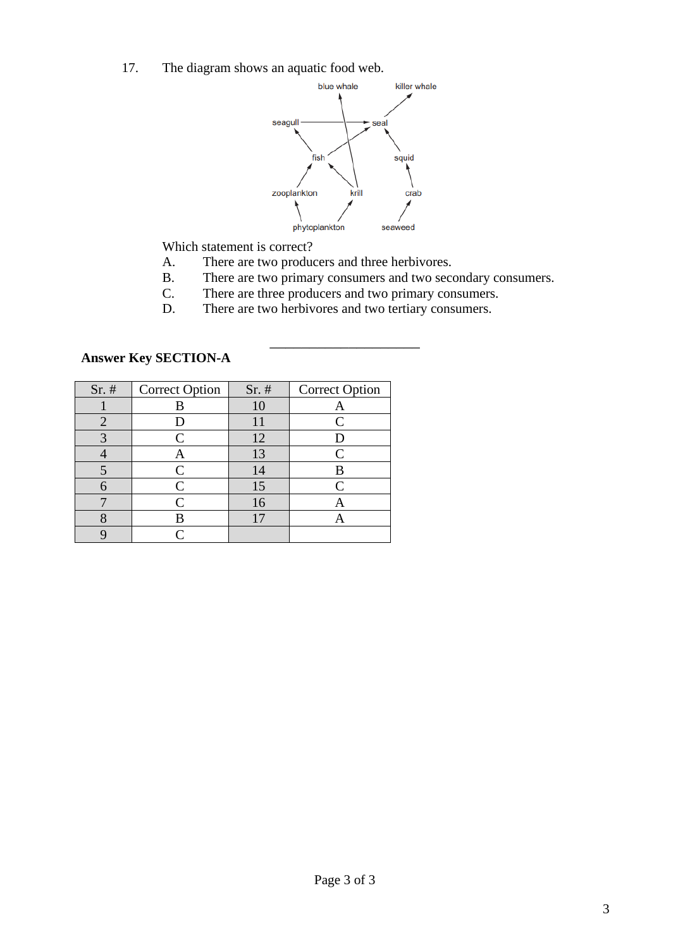17. The diagram shows an aquatic food web.



Which statement is correct?

- A. There are two producers and three herbivores.<br>B. There are two primary consumers and two second-
- There are two primary consumers and two secondary consumers.

\_\_\_\_\_\_\_\_\_\_\_\_\_\_\_\_\_\_\_

- C. There are three producers and two primary consumers.<br>D. There are two herbivores and two tertiary consumers.
- There are two herbivores and two tertiary consumers.

| $Sr.$ # | <b>Correct Option</b> | $Sr.$ # | <b>Correct Option</b>       |
|---------|-----------------------|---------|-----------------------------|
|         |                       | 10      |                             |
|         |                       |         | $\mathcal{C}_{\mathcal{C}}$ |
|         | $\mathsf{\Gamma}$     | 12      |                             |
|         |                       | 13      | $\mathsf{\Gamma}$           |
|         |                       | 14      |                             |
|         | $\mathcal{C}$         | 15      | $\mathsf{\Gamma}$           |
|         |                       | 16      |                             |
|         |                       |         |                             |
|         |                       |         |                             |

## **Answer Key SECTION-A**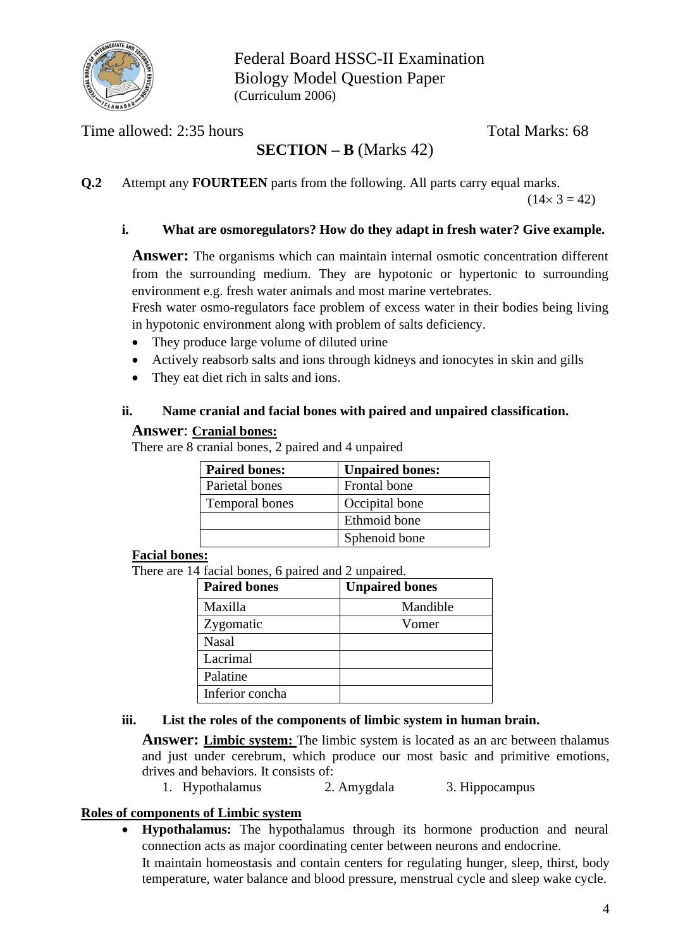

Federal Board HSSC-II Examination Biology Model Question Paper (Curriculum 2006)

Time allowed: 2:35 hours Total Marks: 68

# **SECTION – B** (Marks 42)

**Q.2** Attempt any **FOURTEEN** parts from the following. All parts carry equal marks.

 $(14 \times 3 = 42)$ 

#### **i. What are osmoregulators? How do they adapt in fresh water? Give example.**

**Answer:** The organisms which can maintain internal osmotic concentration different from the surrounding medium. They are hypotonic or hypertonic to surrounding environment e.g. fresh water animals and most marine vertebrates.

Fresh water osmo-regulators face problem of excess water in their bodies being living in hypotonic environment along with problem of salts deficiency.

- They produce large volume of diluted urine
- Actively reabsorb salts and ions through kidneys and ionocytes in skin and gills
- They eat diet rich in salts and ions.

#### **ii. Name cranial and facial bones with paired and unpaired classification.**

#### **Answer**: **Cranial bones:**

There are 8 cranial bones, 2 paired and 4 unpaired

| <b>Paired bones:</b> | <b>Unpaired bones:</b> |
|----------------------|------------------------|
| Parietal bones       | Frontal bone           |
| Temporal bones       | Occipital bone         |
|                      | Ethmoid bone           |
|                      | Sphenoid bone          |

#### **Facial bones:**

There are 14 facial bones, 6 paired and 2 unpaired.

| <b>Paired bones</b> | <b>Unpaired bones</b> |
|---------------------|-----------------------|
| Maxilla             | Mandible              |
| Zygomatic           | Vomer                 |
| <b>Nasal</b>        |                       |
| Lacrimal            |                       |
| Palatine            |                       |
| Inferior concha     |                       |

#### **iii. List the roles of the components of limbic system in human brain.**

**Answer: Limbic system:** The limbic system is located as an arc between thalamus and just under cerebrum, which produce our most basic and primitive emotions, drives and behaviors. It consists of:

1. Hypothalamus 2. Amygdala 3. Hippocampus

#### **Roles of components of Limbic system**

• **Hypothalamus:** The hypothalamus through its hormone production and neural connection acts as major coordinating center between neurons and endocrine. It maintain homeostasis and contain centers for regulating hunger, sleep, thirst, body temperature, water balance and blood pressure, menstrual cycle and sleep wake cycle.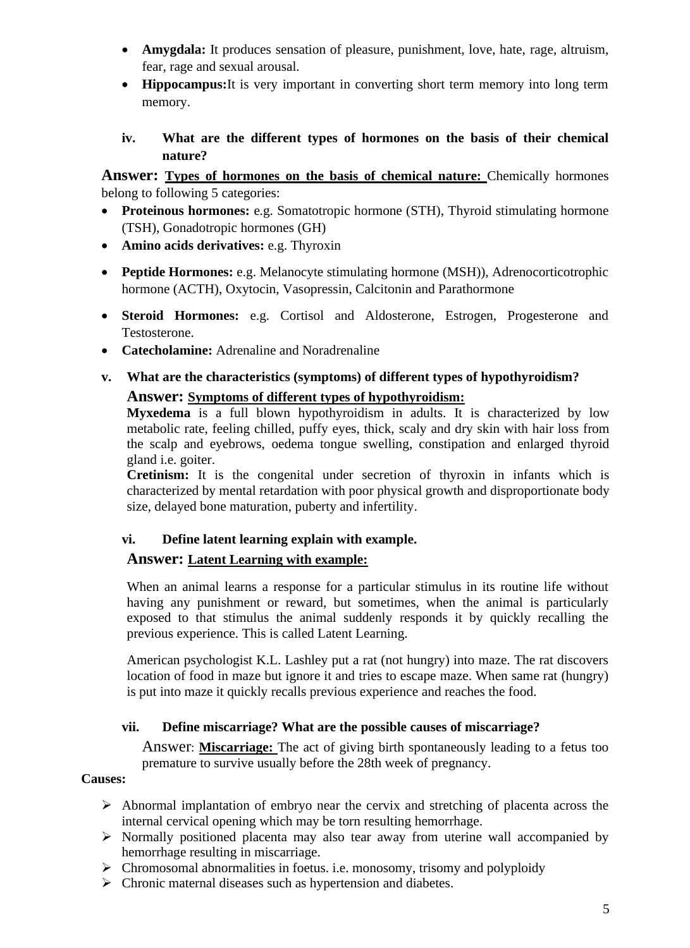- **Amygdala:** It produces sensation of pleasure, punishment, love, hate, rage, altruism, fear, rage and sexual arousal.
- **Hippocampus:**It is very important in converting short term memory into long term memory.
- **iv. What are the different types of hormones on the basis of their chemical nature?**

**Answer: Types of hormones on the basis of chemical nature:** Chemically hormones belong to following 5 categories:

- **Proteinous hormones:** e.g. Somatotropic hormone (STH), Thyroid stimulating hormone (TSH), Gonadotropic hormones (GH)
- **Amino acids derivatives:** e.g. Thyroxin
- **Peptide Hormones:** e.g. Melanocyte stimulating hormone (MSH)), Adrenocorticotrophic hormone (ACTH), Oxytocin, Vasopressin, Calcitonin and Parathormone
- **Steroid Hormones:** e.g. Cortisol and Aldosterone, Estrogen, Progesterone and Testosterone.
- **Catecholamine:** Adrenaline and Noradrenaline
- **v. What are the characteristics (symptoms) of different types of hypothyroidism?**

## **Answer: Symptoms of different types of hypothyroidism:**

**Myxedema** is a full blown hypothyroidism in adults. It is characterized by low metabolic rate, feeling chilled, puffy eyes, thick, scaly and dry skin with hair loss from the scalp and eyebrows, oedema tongue swelling, constipation and enlarged thyroid gland i.e. goiter.

**Cretinism:** It is the congenital under secretion of thyroxin in infants which is characterized by mental retardation with poor physical growth and disproportionate body size, delayed bone maturation, puberty and infertility.

## **vi. Define latent learning explain with example.**

## **Answer: Latent Learning with example:**

When an animal learns a response for a particular stimulus in its routine life without having any punishment or reward, but sometimes, when the animal is particularly exposed to that stimulus the animal suddenly responds it by quickly recalling the previous experience. This is called Latent Learning.

American psychologist K.L. Lashley put a rat (not hungry) into maze. The rat discovers location of food in maze but ignore it and tries to escape maze. When same rat (hungry) is put into maze it quickly recalls previous experience and reaches the food.

## **vii. Define miscarriage? What are the possible causes of miscarriage?**

Answer: **Miscarriage:** The act of giving birth spontaneously leading to a fetus too premature to survive usually before the 28th week of pregnancy.

## **Causes:**

- ➢ Abnormal implantation of embryo near the cervix and stretching of placenta across the internal cervical opening which may be torn resulting hemorrhage.
- ➢ Normally positioned placenta may also tear away from uterine wall accompanied by hemorrhage resulting in miscarriage.
- ➢ Chromosomal abnormalities in foetus. i.e. monosomy, trisomy and polyploidy
- ➢ Chronic maternal diseases such as hypertension and diabetes.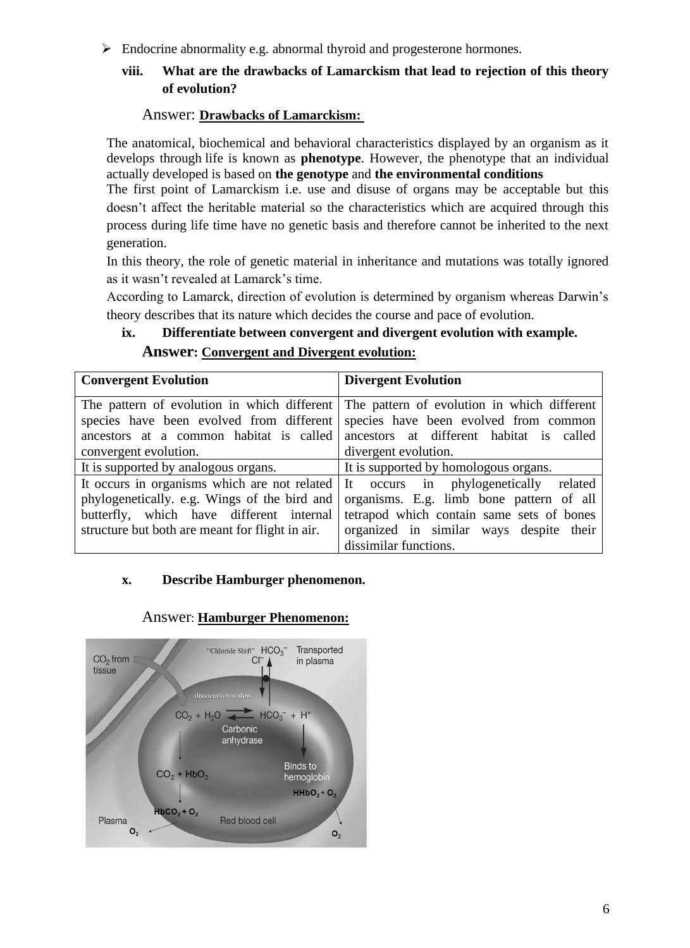➢ Endocrine abnormality e.g. abnormal thyroid and progesterone hormones.

## **viii. What are the drawbacks of Lamarckism that lead to rejection of this theory of evolution?**

#### Answer: **Drawbacks of Lamarckism:**

The anatomical, biochemical and behavioral characteristics displayed by an organism as it develops through life is known as **phenotype**. However, the phenotype that an individual actually developed is based on **the genotype** and **the environmental conditions**

The first point of Lamarckism i.e. use and disuse of organs may be acceptable but this doesn't affect the heritable material so the characteristics which are acquired through this process during life time have no genetic basis and therefore cannot be inherited to the next generation.

In this theory, the role of genetic material in inheritance and mutations was totally ignored as it wasn't revealed at Lamarck's time.

According to Lamarck, direction of evolution is determined by organism whereas Darwin's theory describes that its nature which decides the course and pace of evolution.

# **ix. Differentiate between convergent and divergent evolution with example.**

## **Answer: Convergent and Divergent evolution:**

| <b>Convergent Evolution</b>                     | <b>Divergent Evolution</b>                  |  |  |
|-------------------------------------------------|---------------------------------------------|--|--|
| The pattern of evolution in which different     | The pattern of evolution in which different |  |  |
| species have been evolved from different        | species have been evolved from common       |  |  |
| ancestors at a common habitat is called         | ancestors at different habitat is called    |  |  |
| convergent evolution.                           | divergent evolution.                        |  |  |
| It is supported by analogous organs.            | It is supported by homologous organs.       |  |  |
| It occurs in organisms which are not related    | It occurs in phylogenetically related       |  |  |
| phylogenetically. e.g. Wings of the bird and    | organisms. E.g. limb bone pattern of all    |  |  |
| butterfly, which have different internal        | tetrapod which contain same sets of bones   |  |  |
| structure but both are meant for flight in air. | organized in similar ways despite their     |  |  |
|                                                 | dissimilar functions.                       |  |  |

#### **x. Describe Hamburger phenomenon.**



#### Answer: **Hamburger Phenomenon:**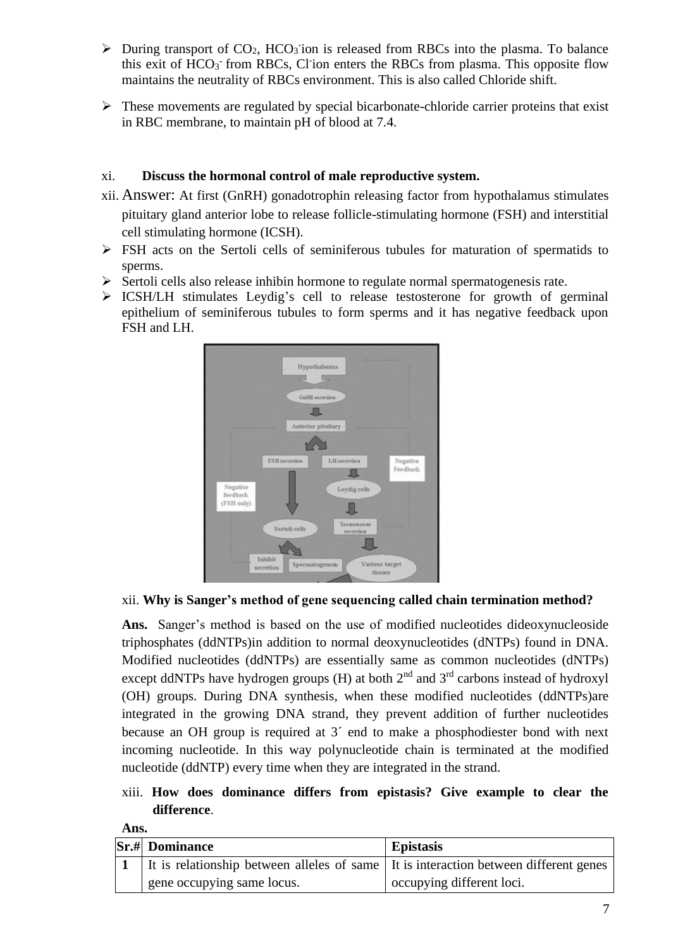- $\triangleright$  During transport of CO<sub>2</sub>, HCO<sub>3</sub> ion is released from RBCs into the plasma. To balance this exit of HCO<sub>3</sub> from RBCs, Cl ion enters the RBCs from plasma. This opposite flow maintains the neutrality of RBCs environment. This is also called Chloride shift.
- $\triangleright$  These movements are regulated by special bicarbonate-chloride carrier proteins that exist in RBC membrane, to maintain pH of blood at 7.4.

## xi. **Discuss the hormonal control of male reproductive system.**

- xii. Answer: At first (GnRH) gonadotrophin releasing factor from hypothalamus stimulates pituitary gland anterior lobe to release follicle-stimulating hormone (FSH) and interstitial cell stimulating hormone (ICSH).
- ➢ FSH acts on the Sertoli cells of seminiferous tubules for maturation of spermatids to sperms.
- $\triangleright$  Sertoli cells also release inhibin hormone to regulate normal spermatogenesis rate.
- $\triangleright$  ICSH/LH stimulates Leydig's cell to release testosterone for growth of germinal epithelium of seminiferous tubules to form sperms and it has negative feedback upon FSH and LH.



## xii. **Why is Sanger's method of gene sequencing called chain termination method?**

**Ans.** Sanger's method is based on the use of modified nucleotides dideoxynucleoside triphosphates (ddNTPs)in addition to normal deoxynucleotides (dNTPs) found in DNA. Modified nucleotides (ddNTPs) are essentially same as common nucleotides (dNTPs) except ddNTPs have hydrogen groups (H) at both  $2<sup>nd</sup>$  and  $3<sup>rd</sup>$  carbons instead of hydroxyl (OH) groups. During DNA synthesis, when these modified nucleotides (ddNTPs)are integrated in the growing DNA strand, they prevent addition of further nucleotides because an OH group is required at 3´ end to make a phosphodiester bond with next incoming nucleotide. In this way polynucleotide chain is terminated at the modified nucleotide (ddNTP) every time when they are integrated in the strand.

xiii. **How does dominance differs from epistasis? Give example to clear the difference**.

| Ans. |                                                                                      |                           |  |  |  |
|------|--------------------------------------------------------------------------------------|---------------------------|--|--|--|
|      | <b>Sr.# Dominance</b>                                                                | <b>Epistasis</b>          |  |  |  |
|      | It is relationship between alleles of same It is interaction between different genes |                           |  |  |  |
|      | gene occupying same locus.                                                           | occupying different loci. |  |  |  |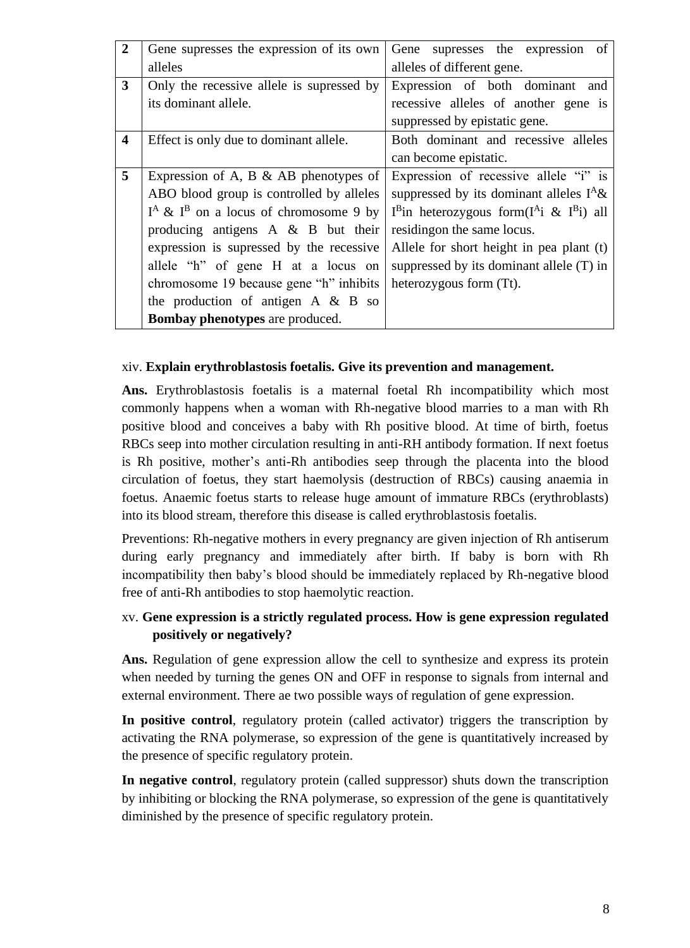| $\mathbf{2}$            | Gene supresses the expression of its own   | of<br>supresses the expression<br>Gene             |  |  |
|-------------------------|--------------------------------------------|----------------------------------------------------|--|--|
|                         | alleles                                    | alleles of different gene.                         |  |  |
| 3                       | Only the recessive allele is supressed by  | Expression of both dominant and                    |  |  |
|                         | its dominant allele.                       | recessive alleles of another gene is               |  |  |
|                         |                                            | suppressed by epistatic gene.                      |  |  |
| $\overline{\mathbf{4}}$ | Effect is only due to dominant allele.     | Both dominant and recessive alleles                |  |  |
|                         |                                            | can become epistatic.                              |  |  |
| 5                       | Expression of A, B $\&$ AB phenotypes of   | Expression of recessive allele "i" is              |  |  |
|                         | ABO blood group is controlled by alleles   | suppressed by its dominant alleles $I^A \&$        |  |  |
|                         | $I^A \& I^B$ on a locus of chromosome 9 by | $I^B$ in heterozygous form( $I^A$ i & $I^B$ i) all |  |  |
|                         | producing antigens $A \& B$ but their      | residing on the same locus.                        |  |  |
|                         | expression is supressed by the recessive   | Allele for short height in pea plant (t)           |  |  |
|                         | allele "h" of gene H at a locus on         | suppressed by its dominant allele $(T)$ in         |  |  |
|                         | chromosome 19 because gene "h" inhibits    | heterozygous form (Tt).                            |  |  |
|                         | the production of antigen $A \& B$ so      |                                                    |  |  |
|                         | <b>Bombay phenotypes</b> are produced.     |                                                    |  |  |

#### xiv. **Explain erythroblastosis foetalis. Give its prevention and management.**

**Ans.** Erythroblastosis foetalis is a maternal foetal Rh incompatibility which most commonly happens when a woman with Rh-negative blood marries to a man with Rh positive blood and conceives a baby with Rh positive blood. At time of birth, foetus RBCs seep into mother circulation resulting in anti-RH antibody formation. If next foetus is Rh positive, mother's anti-Rh antibodies seep through the placenta into the blood circulation of foetus, they start haemolysis (destruction of RBCs) causing anaemia in foetus. Anaemic foetus starts to release huge amount of immature RBCs (erythroblasts) into its blood stream, therefore this disease is called erythroblastosis foetalis.

Preventions: Rh-negative mothers in every pregnancy are given injection of Rh antiserum during early pregnancy and immediately after birth. If baby is born with Rh incompatibility then baby's blood should be immediately replaced by Rh-negative blood free of anti-Rh antibodies to stop haemolytic reaction.

## xv. **Gene expression is a strictly regulated process. How is gene expression regulated positively or negatively?**

**Ans.** Regulation of gene expression allow the cell to synthesize and express its protein when needed by turning the genes ON and OFF in response to signals from internal and external environment. There ae two possible ways of regulation of gene expression.

**In positive control**, regulatory protein (called activator) triggers the transcription by activating the RNA polymerase, so expression of the gene is quantitatively increased by the presence of specific regulatory protein.

**In negative control**, regulatory protein (called suppressor) shuts down the transcription by inhibiting or blocking the RNA polymerase, so expression of the gene is quantitatively diminished by the presence of specific regulatory protein.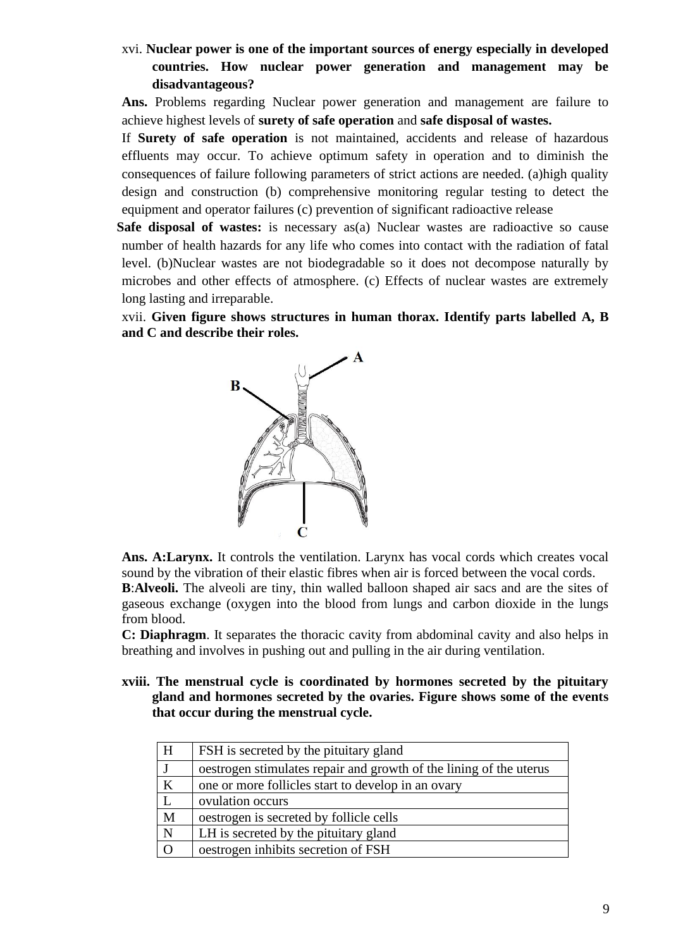xvi. **Nuclear power is one of the important sources of energy especially in developed countries. How nuclear power generation and management may be disadvantageous?**

**Ans.** Problems regarding Nuclear power generation and management are failure to achieve highest levels of **surety of safe operation** and **safe disposal of wastes.**

If **Surety of safe operation** is not maintained, accidents and release of hazardous effluents may occur. To achieve optimum safety in operation and to diminish the consequences of failure following parameters of strict actions are needed. (a)high quality design and construction (b) comprehensive monitoring regular testing to detect the equipment and operator failures (c) prevention of significant radioactive release

Safe disposal of wastes: is necessary as(a) Nuclear wastes are radioactive so cause number of health hazards for any life who comes into contact with the radiation of fatal level. (b)Nuclear wastes are not biodegradable so it does not decompose naturally by microbes and other effects of atmosphere. (c) Effects of nuclear wastes are extremely long lasting and irreparable.

xvii. **Given figure shows structures in human thorax. Identify parts labelled A, B and C and describe their roles.**



**Ans. A:Larynx.** It controls the ventilation. Larynx has vocal cords which creates vocal sound by the vibration of their elastic fibres when air is forced between the vocal cords.

**B**:**Alveoli.** The alveoli are tiny, thin walled balloon shaped air sacs and are the sites of gaseous exchange (oxygen into the blood from lungs and carbon dioxide in the lungs from blood.

**C: Diaphragm**. It separates the thoracic cavity from abdominal cavity and also helps in breathing and involves in pushing out and pulling in the air during ventilation.

**xviii. The menstrual cycle is coordinated by hormones secreted by the pituitary gland and hormones secreted by the ovaries. Figure shows some of the events that occur during the menstrual cycle.**

| H        | FSH is secreted by the pituitary gland                             |
|----------|--------------------------------------------------------------------|
|          | oestrogen stimulates repair and growth of the lining of the uterus |
| $\bf K$  | one or more follicles start to develop in an ovary                 |
|          | ovulation occurs                                                   |
| M        | oestrogen is secreted by follicle cells                            |
| N        | LH is secreted by the pituitary gland                              |
| $\Omega$ | oestrogen inhibits secretion of FSH                                |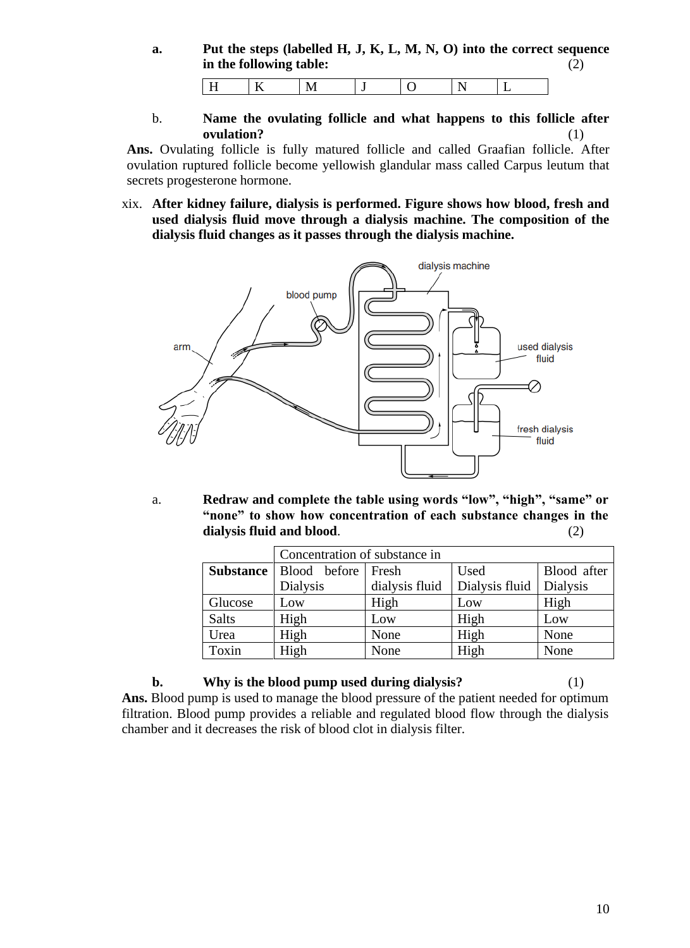**a. Put the steps (labelled H, J, K, L, M, N, O) into the correct sequence in the following table:** (2)

|  |  | - |  |
|--|--|---|--|

b. **Name the ovulating follicle and what happens to this follicle after ovulation?** (1)

**Ans.** Ovulating follicle is fully matured follicle and called Graafian follicle. After ovulation ruptured follicle become yellowish glandular mass called Carpus leutum that secrets progesterone hormone.

xix. **After kidney failure, dialysis is performed. Figure shows how blood, fresh and used dialysis fluid move through a dialysis machine. The composition of the dialysis fluid changes as it passes through the dialysis machine.**



a. **Redraw and complete the table using words "low", "high", "same" or "none" to show how concentration of each substance changes in the dialysis fluid and blood**. (2)

|              | Concentration of substance in           |                |                |                 |  |
|--------------|-----------------------------------------|----------------|----------------|-----------------|--|
|              | <b>Substance</b>   Blood before   Fresh |                | Used           | Blood after     |  |
|              | <b>Dialysis</b>                         | dialysis fluid | Dialysis fluid | <b>Dialysis</b> |  |
| Glucose      | Low                                     | High           | Low            | High            |  |
| <b>Salts</b> | High                                    | Low            | High           | Low             |  |
| Urea         | High                                    | None           | High           | None            |  |
| Toxin        | High                                    | None           | High           | None            |  |

**b. Why is the blood pump used during dialysis?** (1) **Ans.** Blood pump is used to manage the blood pressure of the patient needed for optimum filtration. Blood pump provides a reliable and regulated blood flow through the dialysis chamber and it decreases the risk of blood clot in dialysis filter.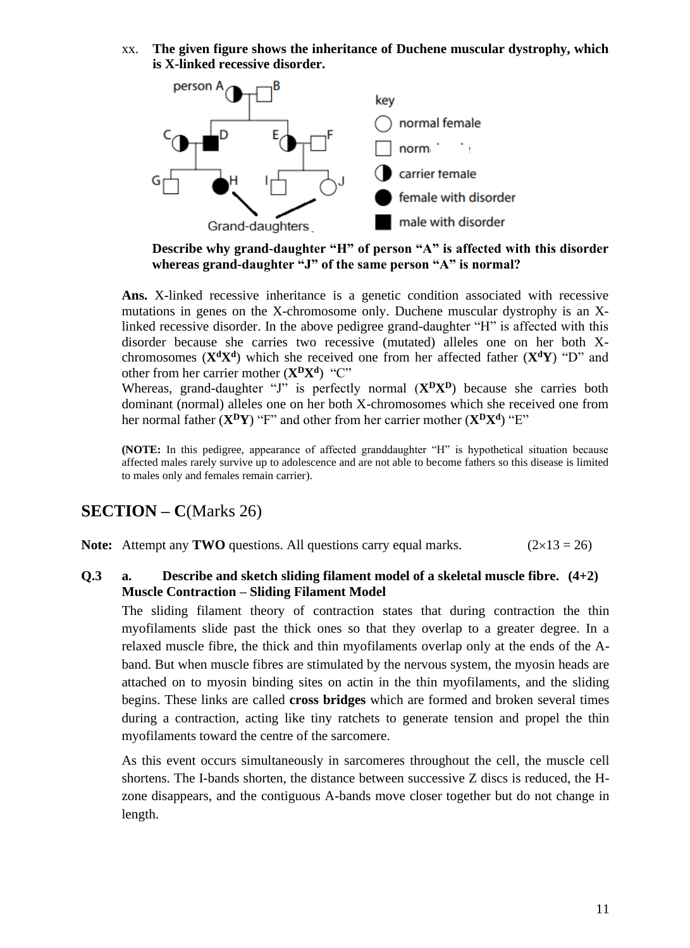xx. **The given figure shows the inheritance of Duchene muscular dystrophy, which is X-linked recessive disorder.**



**Describe why grand-daughter "H" of person "A" is affected with this disorder whereas grand-daughter "J" of the same person "A" is normal?**

**Ans.** X-linked recessive inheritance is a genetic condition associated with recessive mutations in genes on the X-chromosome only. Duchene muscular dystrophy is an Xlinked recessive disorder. In the above pedigree grand-daughter "H" is affected with this disorder because she carries two recessive (mutated) alleles one on her both Xchromosomes (**X<sup>d</sup>X<sup>d</sup>** ) which she received one from her affected father (**X<sup>d</sup>Y**) "D" and other from her carrier mother (**X<sup>D</sup>X<sup>d</sup>** ) "C"

Whereas, grand-daughter "J" is perfectly normal (**X<sup>D</sup>X<sup>D</sup>**) because she carries both dominant (normal) alleles one on her both X-chromosomes which she received one from her normal father (**X<sup>D</sup>Y**) "F" and other from her carrier mother (**X<sup>D</sup>X<sup>d</sup>** ) "E"

**(NOTE:** In this pedigree, appearance of affected granddaughter "H" is hypothetical situation because affected males rarely survive up to adolescence and are not able to become fathers so this disease is limited to males only and females remain carrier).

# **SECTION – C**(Marks 26)

**Note:** Attempt any **TWO** questions. All questions carry equal marks.  $(2 \times 13 = 26)$ 

#### **Q.3 a. Describe and sketch sliding filament model of a skeletal muscle fibre. (4+2) Muscle Contraction – Sliding Filament Model**

The sliding filament theory of contraction states that during contraction the thin myofilaments slide past the thick ones so that they overlap to a greater degree. In a relaxed muscle fibre, the thick and thin myofilaments overlap only at the ends of the Aband. But when muscle fibres are stimulated by the nervous system, the myosin heads are attached on to myosin binding sites on actin in the thin myofilaments, and the sliding begins. These links are called **cross bridges** which are formed and broken several times during a contraction, acting like tiny ratchets to generate tension and propel the thin myofilaments toward the centre of the sarcomere.

As this event occurs simultaneously in sarcomeres throughout the cell, the muscle cell shortens. The I-bands shorten, the distance between successive Z discs is reduced, the Hzone disappears, and the contiguous A-bands move closer together but do not change in length.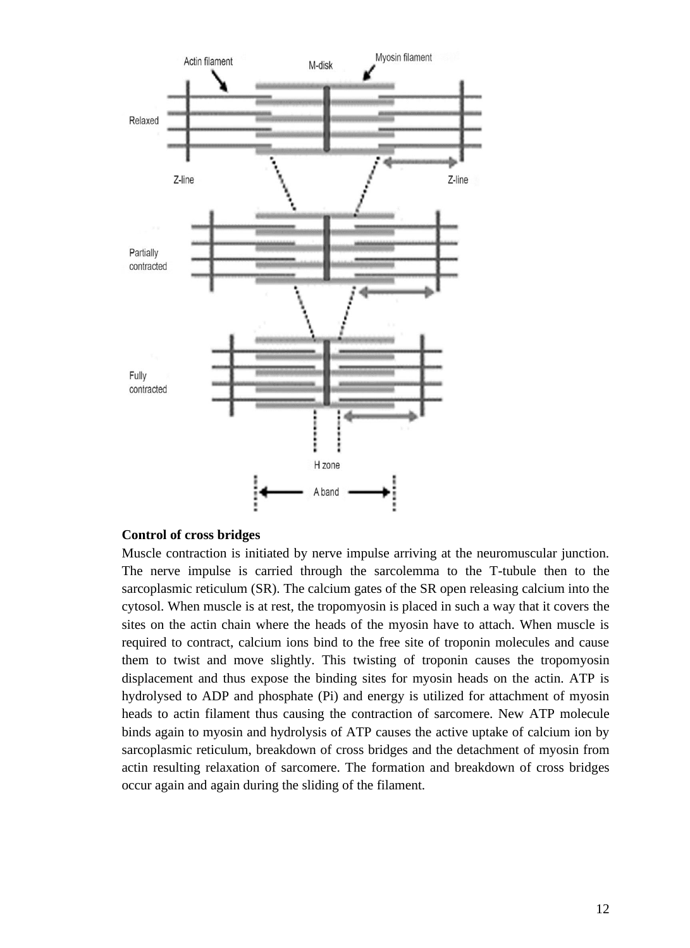

#### **Control of cross bridges**

Muscle contraction is initiated by nerve impulse arriving at the neuromuscular junction. The nerve impulse is carried through the sarcolemma to the T-tubule then to the sarcoplasmic reticulum (SR). The calcium gates of the SR open releasing calcium into the cytosol. When muscle is at rest, the tropomyosin is placed in such a way that it covers the sites on the actin chain where the heads of the myosin have to attach. When muscle is required to contract, calcium ions bind to the free site of troponin molecules and cause them to twist and move slightly. This twisting of troponin causes the tropomyosin displacement and thus expose the binding sites for myosin heads on the actin. ATP is hydrolysed to ADP and phosphate (Pi) and energy is utilized for attachment of myosin heads to actin filament thus causing the contraction of sarcomere. New ATP molecule binds again to myosin and hydrolysis of ATP causes the active uptake of calcium ion by sarcoplasmic reticulum, breakdown of cross bridges and the detachment of myosin from actin resulting relaxation of sarcomere. The formation and breakdown of cross bridges occur again and again during the sliding of the filament.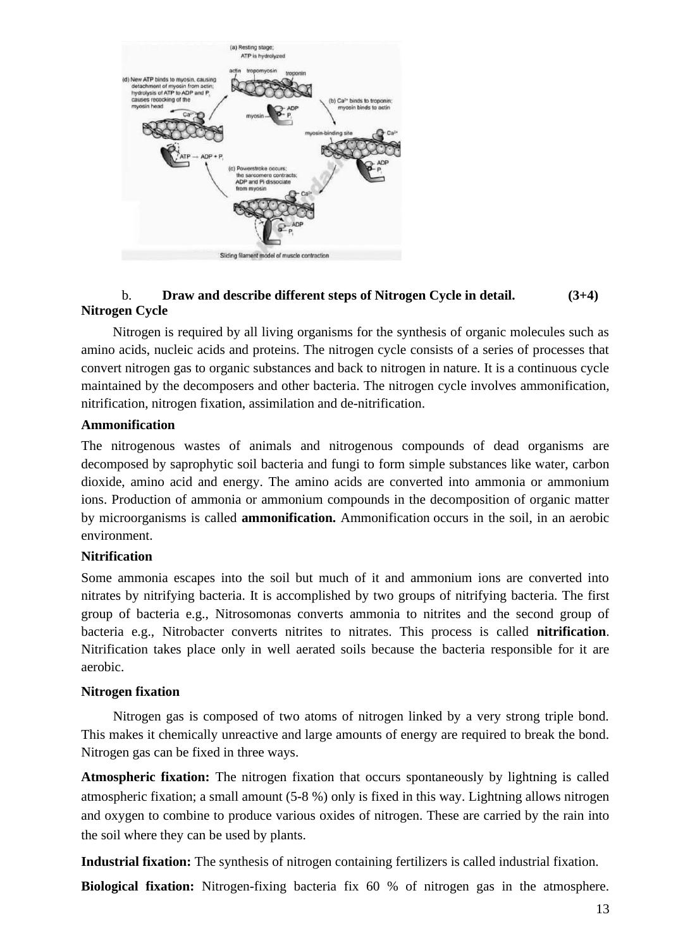

## b. **Draw and describe different steps of Nitrogen Cycle in detail. (3+4) Nitrogen Cycle**

Nitrogen is required by all living organisms for the synthesis of organic molecules such as amino acids, nucleic acids and proteins. The nitrogen cycle consists of a series of processes that convert nitrogen gas to organic substances and back to nitrogen in nature. It is a continuous cycle maintained by the decomposers and other bacteria. The nitrogen cycle involves ammonification, nitrification, nitrogen fixation, assimilation and de-nitrification.

#### **Ammonification**

The nitrogenous wastes of animals and nitrogenous compounds of dead organisms are decomposed by saprophytic soil bacteria and fungi to form simple substances like water, carbon dioxide, amino acid and energy. The amino acids are converted into ammonia or ammonium ions. Production of ammonia or ammonium compounds in the decomposition of organic matter by microorganisms is called **ammonification.** Ammonification occurs in the soil, in an aerobic environment.

#### **Nitrification**

Some ammonia escapes into the soil but much of it and ammonium ions are converted into nitrates by nitrifying bacteria. It is accomplished by two groups of nitrifying bacteria. The first group of bacteria e.g., Nitrosomonas converts ammonia to nitrites and the second group of bacteria e.g., Nitrobacter converts nitrites to nitrates. This process is called **nitrification**. Nitrification takes place only in well aerated soils because the bacteria responsible for it are aerobic.

#### **Nitrogen fixation**

Nitrogen gas is composed of two atoms of nitrogen linked by a very strong triple bond. This makes it chemically unreactive and large amounts of energy are required to break the bond. Nitrogen gas can be fixed in three ways.

**Atmospheric fixation:** The nitrogen fixation that occurs spontaneously by lightning is called atmospheric fixation; a small amount (5-8 %) only is fixed in this way. Lightning allows nitrogen and oxygen to combine to produce various oxides of nitrogen. These are carried by the rain into the soil where they can be used by plants.

**Industrial fixation:** The synthesis of nitrogen containing fertilizers is called industrial fixation.

**Biological fixation:** Nitrogen-fixing bacteria fix 60 % of nitrogen gas in the atmosphere.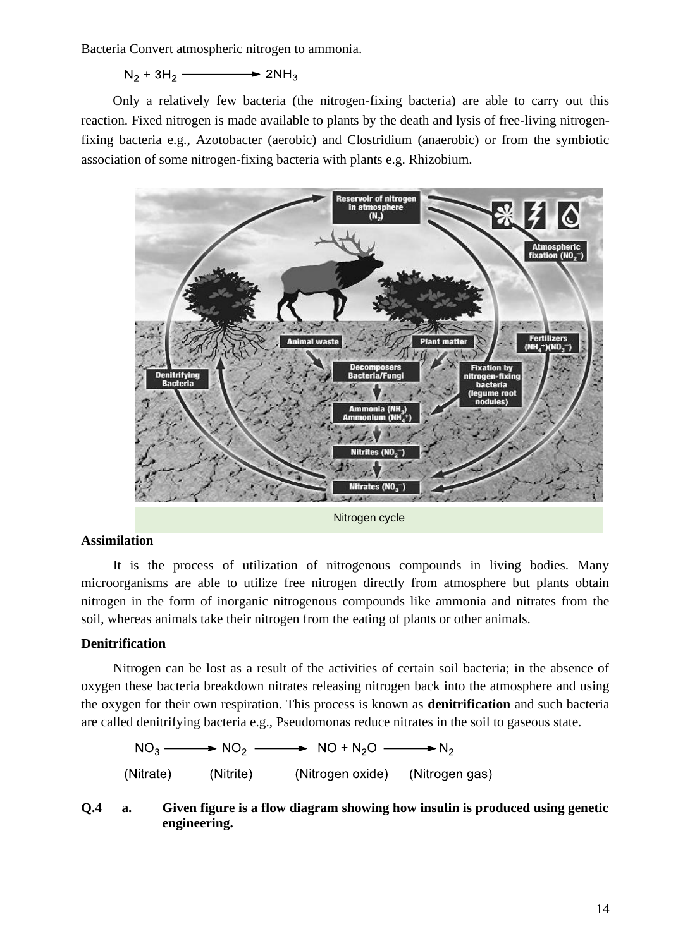Bacteria Convert atmospheric nitrogen to ammonia.

 $N_2 + 3H_2$   $\longrightarrow$   $2NH_3$ 

Only a relatively few bacteria (the nitrogen-fixing bacteria) are able to carry out this reaction. Fixed nitrogen is made available to plants by the death and lysis of free-living nitrogenfixing bacteria e.g., Azotobacter (aerobic) and Clostridium (anaerobic) or from the symbiotic association of some nitrogen-fixing bacteria with plants e.g. Rhizobium.



Nitrogen cycle

#### **Assimilation**

It is the process of utilization of nitrogenous compounds in living bodies. Many microorganisms are able to utilize free nitrogen directly from atmosphere but plants obtain nitrogen in the form of inorganic nitrogenous compounds like ammonia and nitrates from the soil, whereas animals take their nitrogen from the eating of plants or other animals.

#### **Denitrification**

Nitrogen can be lost as a result of the activities of certain soil bacteria; in the absence of oxygen these bacteria breakdown nitrates releasing nitrogen back into the atmosphere and using the oxygen for their own respiration. This process is known as **denitrification** and such bacteria are called denitrifying bacteria e.g., Pseudomonas reduce nitrates in the soil to gaseous state.

 $NO_3 \longrightarrow NO_2 \longrightarrow NO + N_2O \longrightarrow N_2$ (Nitrate) (Nitrite) (Nitrogen oxide) (Nitrogen gas)

#### **Q.4 a. Given figure is a flow diagram showing how insulin is produced using genetic engineering.**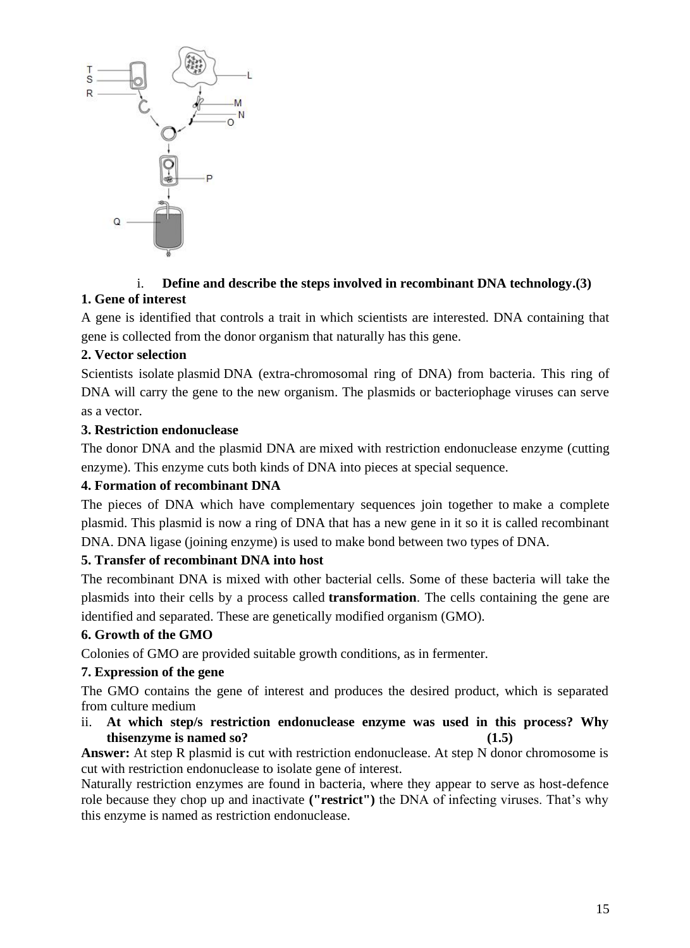

## i. **Define and describe the steps involved in recombinant DNA technology.(3) 1. Gene of interest**

A gene is identified that controls a trait in which scientists are interested. DNA containing that gene is collected from the donor organism that naturally has this gene.

## **2. Vector selection**

Scientists isolate [plasmid](http://gregor.rutgers.edu/genetics/Week15/Lecture15-2.html) DNA (extra-chromosomal ring of DNA) from bacteria. This ring of DNA will carry the gene to the new organism. The plasmids or bacteriophage viruses can serve as a vector.

## **3. Restriction endonuclease**

The donor DNA and the plasmid DNA are [mixed with restriction endonuclease enzyme](http://www.nmsu.edu/~molbio/mcb520/lecture2.html) (cutting enzyme). This [enzyme cuts](http://www.accessexcellence.org/AB/GG/restriction.html) both kinds of DNA into pieces at special sequence.

## **4. Formation of recombinant DNA**

The pieces of DNA which have complementary sequences join together to [make a complete](http://www.accessexcellence.org/AB/GG/inserting.html)  [plasmid.](http://www.accessexcellence.org/AB/GG/inserting.html) This plasmid is now a ring of DNA that has a new gene in it so it is called recombinant DNA. DNA ligase (joining enzyme) is used to make bond between two types of DNA.

## **5. Transfer of recombinant DNA into host**

The recombinant DNA is mixed with other bacterial cells. Some of these bacteria will take the plasmids into their cells by a process called **[transformation](http://www.stolaf.edu/people/chial/ges9_files/sld024.htm)**. The cells containing the gene are identified and separated. These are genetically modified organism (GMO).

## **6. Growth of the GMO**

Colonies of GMO are provided suitable growth conditions, as in fermenter.

## **7. Expression of the gene**

The GMO contains the gene of interest and produces the desired product, which is separated from culture medium

ii. **At which step/s restriction endonuclease enzyme was used in this process? Why thisenzyme is named so? (1.5)**

**Answer:** At step R plasmid is cut with restriction endonuclease. At step N donor chromosome is cut with restriction endonuclease to isolate gene of interest.

Naturally restriction enzymes are found in bacteria, where they appear to serve as host-defence role because they chop up and inactivate **("restrict")** the DNA of infecting viruses. That's why this enzyme is named as restriction endonuclease.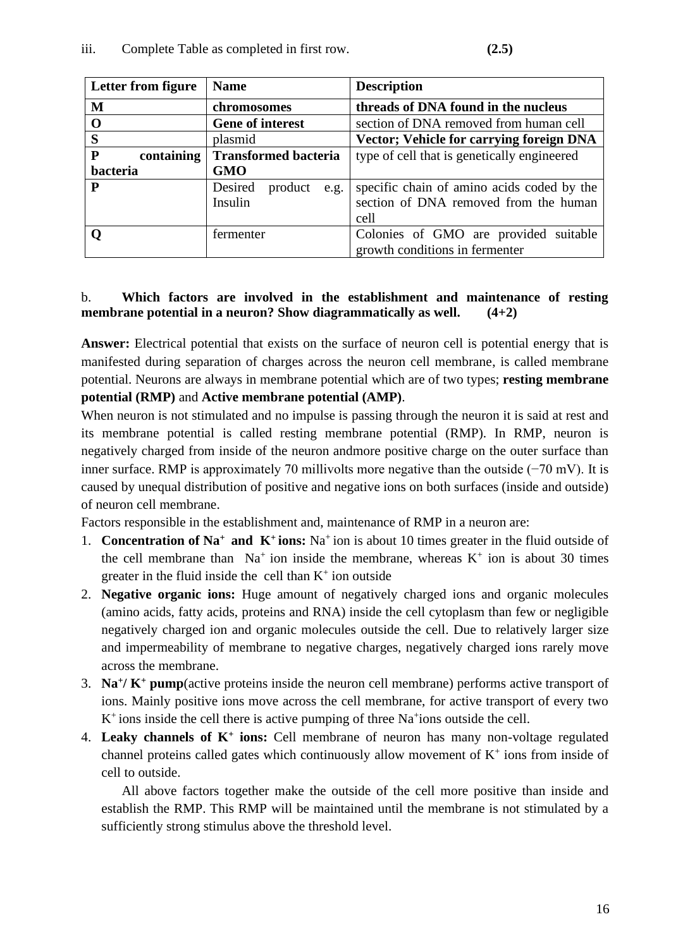| Letter from figure      | <b>Name</b>                 | <b>Description</b>                              |
|-------------------------|-----------------------------|-------------------------------------------------|
| M                       | chromosomes                 | threads of DNA found in the nucleus             |
| O                       | <b>Gene of interest</b>     | section of DNA removed from human cell          |
| S                       | plasmid                     | <b>Vector; Vehicle for carrying foreign DNA</b> |
| ${\bf P}$<br>containing | <b>Transformed bacteria</b> | type of cell that is genetically engineered     |
| bacteria                | <b>GMO</b>                  |                                                 |
| P                       | Desired<br>product<br>e.g.  | specific chain of amino acids coded by the      |
|                         | Insulin                     | section of DNA removed from the human           |
|                         |                             | cell                                            |
|                         | fermenter                   | Colonies of GMO are provided suitable           |
|                         |                             | growth conditions in fermenter                  |

## b. **Which factors are involved in the establishment and maintenance of resting membrane potential in a neuron? Show diagrammatically as well. (4+2)**

**Answer:** Electrical potential that exists on the surface of neuron cell is potential energy that is manifested during separation of charges across the neuron cell membrane, is called membrane potential. Neurons are always in membrane potential which are of two types; **resting membrane potential (RMP)** and **Active membrane potential (AMP)**.

When neuron is not stimulated and no impulse is passing through the neuron it is said at rest and its membrane potential is called resting membrane potential (RMP). In RMP, neuron is negatively charged from inside of the neuron andmore positive charge on the outer surface than inner surface. RMP is approximately 70 millivolts more negative than the outside (−70 mV). It is caused by unequal distribution of positive and negative ions on both surfaces (inside and outside) of neuron cell membrane.

Factors responsible in the establishment and, maintenance of RMP in a neuron are:

- 1. **Concentration of Na<sup>+</sup>and K<sup>+</sup>ions:** Na<sup>+</sup>ion is about 10 times greater in the fluid outside of the cell membrane than  $Na<sup>+</sup>$  ion inside the membrane, whereas  $K<sup>+</sup>$  ion is about 30 times greater in the fluid inside the cell than  $K^+$  ion outside
- 2. **Negative organic ions:** Huge amount of negatively charged ions and organic molecules (amino acids, fatty acids, proteins and RNA) inside the cell cytoplasm than few or negligible negatively charged ion and organic molecules outside the cell. Due to relatively larger size and impermeability of membrane to negative charges, negatively charged ions rarely move across the membrane.
- 3. **Na<sup>+</sup> / K<sup>+</sup> pump**(active proteins inside the neuron cell membrane) performs active transport of ions. Mainly positive ions move across the cell membrane, for active transport of every two  $K^+$  ions inside the cell there is active pumping of three Na<sup>+</sup>ions outside the cell.
- 4. **Leaky channels of K<sup>+</sup> ions:** Cell membrane of neuron has many non-voltage regulated channel proteins called gates which continuously allow movement of  $K^+$  ions from inside of cell to outside.

All above factors together make the outside of the cell more positive than inside and establish the RMP. This RMP will be maintained until the membrane is not stimulated by a sufficiently strong stimulus above the threshold level.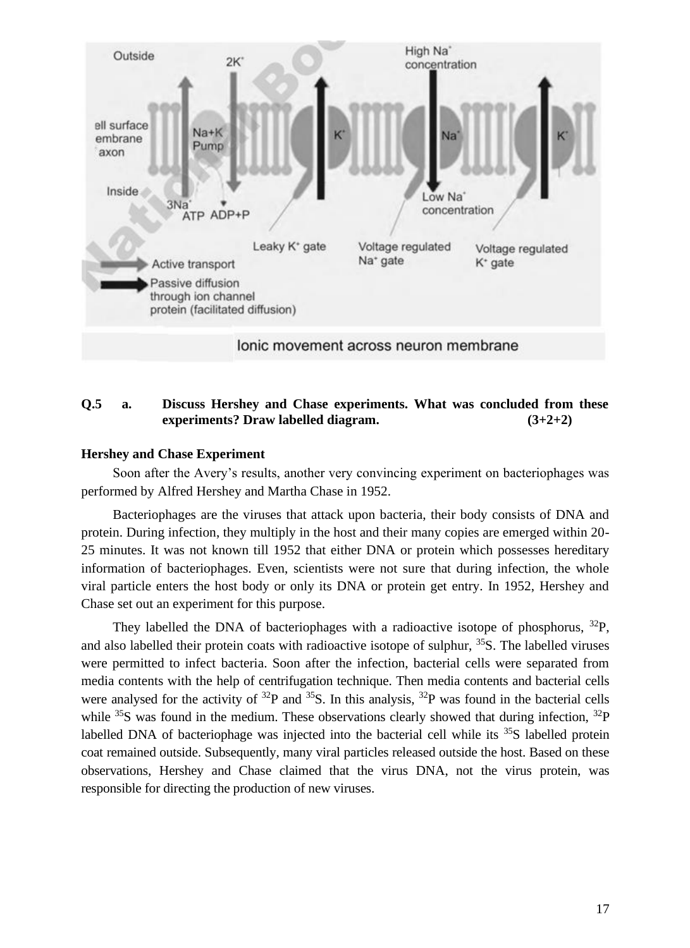

#### **Q.5 a. Discuss Hershey and Chase experiments. What was concluded from these experiments? Draw labelled diagram. (3+2+2)**

#### **Hershey and Chase Experiment**

Soon after the Avery's results, another very convincing experiment on bacteriophages was performed by Alfred Hershey and Martha Chase in 1952.

Bacteriophages are the viruses that attack upon bacteria, their body consists of DNA and protein. During infection, they multiply in the host and their many copies are emerged within 20- 25 minutes. It was not known till 1952 that either DNA or protein which possesses hereditary information of bacteriophages. Even, scientists were not sure that during infection, the whole viral particle enters the host body or only its DNA or protein get entry. In 1952, Hershey and Chase set out an experiment for this purpose.

They labelled the DNA of bacteriophages with a radioactive isotope of phosphorus,  $^{32}P$ , and also labelled their protein coats with radioactive isotope of sulphur, <sup>35</sup>S. The labelled viruses were permitted to infect bacteria. Soon after the infection, bacterial cells were separated from media contents with the help of centrifugation technique. Then media contents and bacterial cells were analysed for the activity of  ${}^{32}P$  and  ${}^{35}S$ . In this analysis,  ${}^{32}P$  was found in the bacterial cells while  $35S$  was found in the medium. These observations clearly showed that during infection,  $32P$ labelled DNA of bacteriophage was injected into the bacterial cell while its  $35S$  labelled protein coat remained outside. Subsequently, many viral particles released outside the host. Based on these observations, Hershey and Chase claimed that the virus DNA, not the virus protein, was responsible for directing the production of new viruses.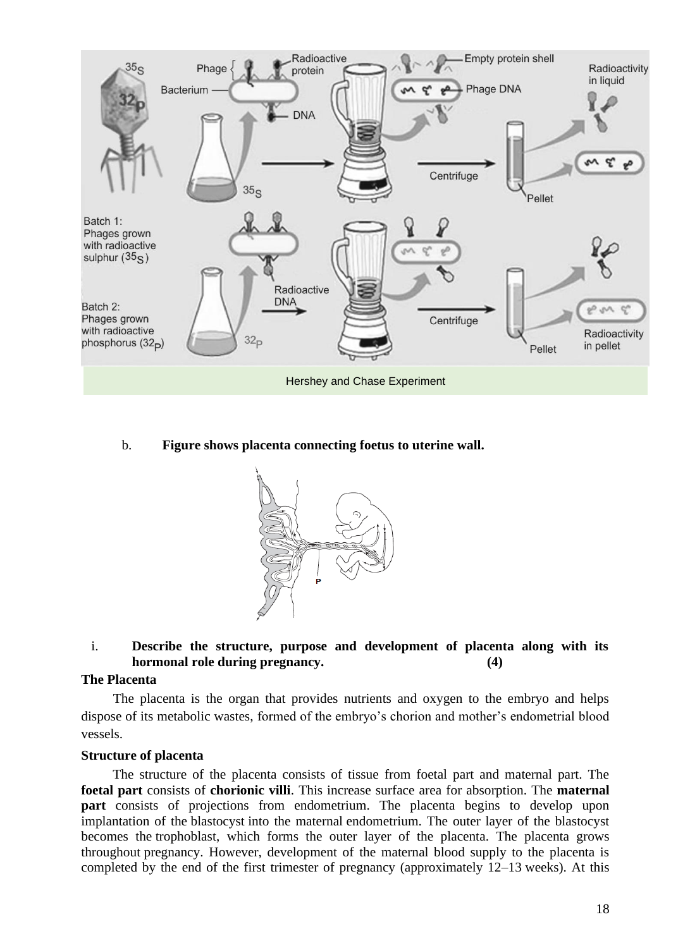

b. **Figure shows placenta connecting foetus to uterine wall.**

![](_page_17_Picture_2.jpeg)

#### i. **Describe the structure, purpose and development of placenta along with its hormonal role during pregnancy. (4)**

#### **The Placenta**

The placenta is the organ that provides nutrients and oxygen to the embryo and helps dispose of its metabolic wastes, formed of the embryo's chorion and mother's endometrial blood vessels.

#### **Structure of placenta**

The structure of the placenta consists of tissue from foetal part and maternal part. The **foetal part** consists of **chorionic villi**. This increase surface area for absorption. The **maternal part** consists of projections from endometrium. The placenta begins to develop upon implantation of the blastocyst into the maternal endometrium. The outer layer of the blastocyst becomes the trophoblast, which forms the outer layer of the placenta. The placenta grows throughout pregnancy. However, development of the maternal blood supply to the placenta is completed by the end of the first trimester of pregnancy (approximately 12–13 weeks). At this